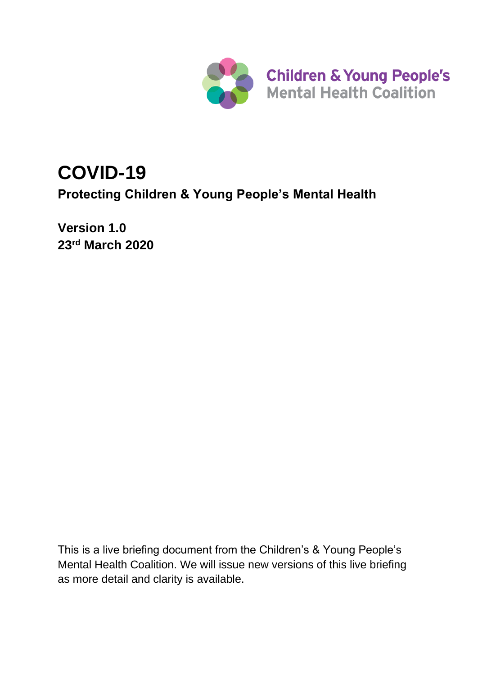

# **COVID-19**

**Protecting Children & Young People's Mental Health**

**Version 1.0 23 rd March 2020**

This is a live briefing document from the Children's & Young People's Mental Health Coalition. We will issue new versions of this live briefing as more detail and clarity is available.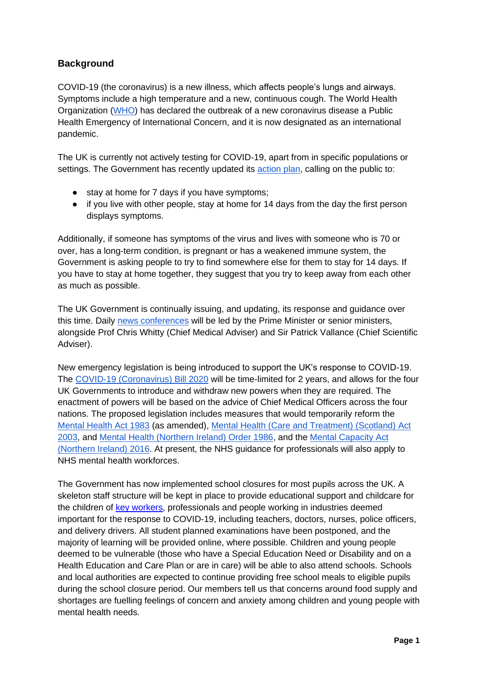# **Background**

COVID-19 (the coronavirus) is a new illness, which affects people's lungs and airways. Symptoms include a high temperature and a new, continuous cough. The World Health Organization [\(WHO\)](https://www.who.int/emergencies/diseases/novel-coronavirus-2019) has declared the outbreak of a new coronavirus disease a Public Health Emergency of International Concern, and it is now designated as an international pandemic.

The UK is currently not actively testing for COVID-19, apart from in specific populations or settings. The Government has recently updated its [action plan,](https://www.gov.uk/government/publications/coronavirus-action-plan) calling on the public to:

- stay at home for 7 days if you have symptoms;
- if you live with other people, stay at home for 14 days from the day the first person displays symptoms.

Additionally, if someone has symptoms of the virus and lives with someone who is 70 or over, has a long-term condition, is pregnant or has a weakened immune system, the Government is asking people to try to find somewhere else for them to stay for 14 days. If you have to stay at home together, they suggest that you try to keep away from each other as much as possible.

The UK Government is continually issuing, and updating, its response and guidance over this time. Daily [news conferences](https://www.gov.uk/government/organisations/prime-ministers-office-10-downing-street) will be led by the Prime Minister or senior ministers, alongside Prof Chris Whitty (Chief Medical Adviser) and Sir Patrick Vallance (Chief Scientific Adviser).

New emergency legislation is being introduced to support the UK's response to COVID-19. The [COVID-19 \(Coronavirus\) Bill 2020](https://publications.parliament.uk/pa/bills/cbill/58-01/0122/cbill_2019-20210122_en_1.htm) will be time-limited for 2 years, and allows for the four UK Governments to introduce and withdraw new powers when they are required. The enactment of powers will be based on the advice of Chief Medical Officers across the four nations. The proposed legislation includes measures that would temporarily reform the [Mental Health Act 1983](https://www.legislation.gov.uk/ukpga/1983/20/contents) (as amended), [Mental Health \(Care and Treatment\) \(Scotland\) Act](http://www.legislation.gov.uk/asp/2003/13/contents)  [2003,](http://www.legislation.gov.uk/asp/2003/13/contents) and [Mental Health \(Northern Ireland\) Order 1986,](http://www.legislation.gov.uk/nisi/1986/595) and the [Mental Capacity Act](http://www.legislation.gov.uk/nia/2016/18/contents/enacted)  [\(Northern Ireland\) 2016.](http://www.legislation.gov.uk/nia/2016/18/contents/enacted) At present, the NHS guidance for professionals will also apply to NHS mental health workforces.

The Government has now implemented school closures for most pupils across the UK. A skeleton staff structure will be kept in place to provide educational support and childcare for the children of [key workers,](https://www.gov.uk/government/publications/coronavirus-covid-19-maintaining-educational-provision/guidance-for-schools-colleges-and-local-authorities-on-maintaining-educational-provision) professionals and people working in industries deemed important for the response to COVID-19, including teachers, doctors, nurses, police officers, and delivery drivers. All student planned examinations have been postponed, and the majority of learning will be provided online, where possible. Children and young people deemed to be vulnerable (those who have a Special Education Need or Disability and on a Health Education and Care Plan or are in care) will be able to also attend schools. Schools and local authorities are expected to continue providing free school meals to eligible pupils during the school closure period. Our members tell us that concerns around food supply and shortages are fuelling feelings of concern and anxiety among children and young people with mental health needs.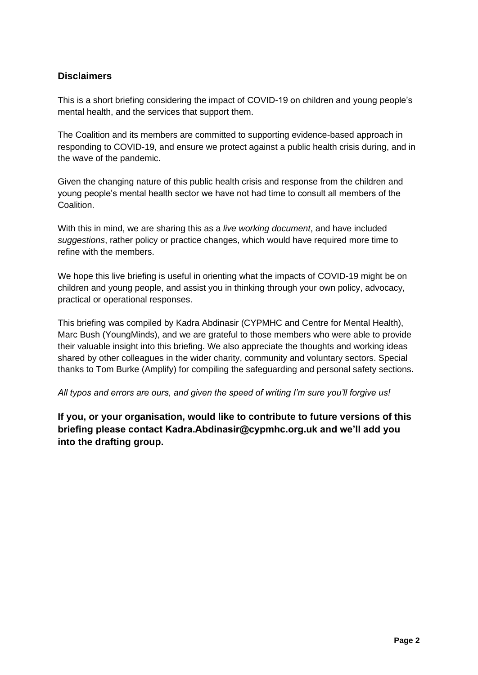# **Disclaimers**

This is a short briefing considering the impact of COVID-19 on children and young people's mental health, and the services that support them.

The Coalition and its members are committed to supporting evidence-based approach in responding to COVID-19, and ensure we protect against a public health crisis during, and in the wave of the pandemic.

Given the changing nature of this public health crisis and response from the children and young people's mental health sector we have not had time to consult all members of the Coalition.

With this in mind, we are sharing this as a *live working document*, and have included *suggestions*, rather policy or practice changes, which would have required more time to refine with the members.

We hope this live briefing is useful in orienting what the impacts of COVID-19 might be on children and young people, and assist you in thinking through your own policy, advocacy, practical or operational responses.

This briefing was compiled by Kadra Abdinasir (CYPMHC and Centre for Mental Health), Marc Bush (YoungMinds), and we are grateful to those members who were able to provide their valuable insight into this briefing. We also appreciate the thoughts and working ideas shared by other colleagues in the wider charity, community and voluntary sectors. Special thanks to Tom Burke (Amplify) for compiling the safeguarding and personal safety sections.

*All typos and errors are ours, and given the speed of writing I'm sure you'll forgive us!*

**If you, or your organisation, would like to contribute to future versions of this briefing please contact Kadra.Abdinasir@cypmhc.org.uk and we'll add you into the drafting group.**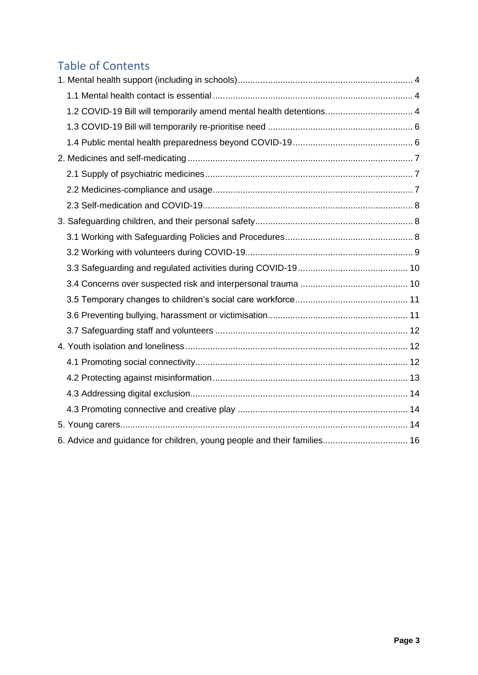# Table of Contents

| 1.2 COVID-19 Bill will temporarily amend mental health detentions 4     |  |
|-------------------------------------------------------------------------|--|
|                                                                         |  |
|                                                                         |  |
|                                                                         |  |
|                                                                         |  |
|                                                                         |  |
|                                                                         |  |
|                                                                         |  |
|                                                                         |  |
|                                                                         |  |
|                                                                         |  |
|                                                                         |  |
|                                                                         |  |
|                                                                         |  |
|                                                                         |  |
|                                                                         |  |
|                                                                         |  |
|                                                                         |  |
|                                                                         |  |
|                                                                         |  |
|                                                                         |  |
| 6. Advice and guidance for children, young people and their families 16 |  |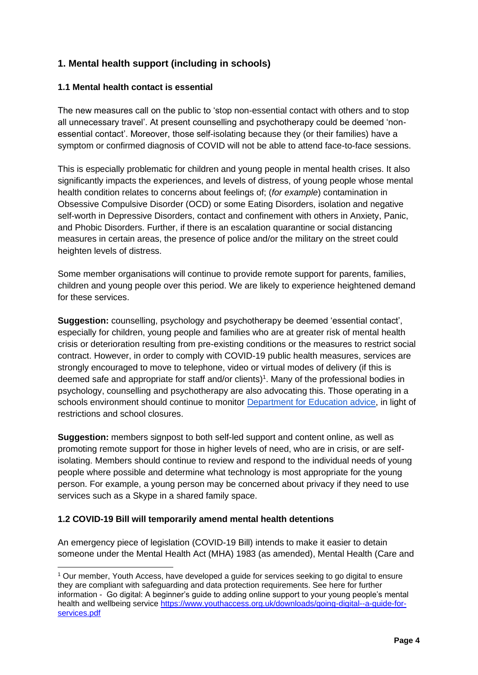# <span id="page-4-0"></span>**1. Mental health support (including in schools)**

### <span id="page-4-1"></span>**1.1 Mental health contact is essential**

The new measures call on the public to 'stop non-essential contact with others and to stop all unnecessary travel'. At present counselling and psychotherapy could be deemed 'nonessential contact'. Moreover, those self-isolating because they (or their families) have a symptom or confirmed diagnosis of COVID will not be able to attend face-to-face sessions.

This is especially problematic for children and young people in mental health crises. It also significantly impacts the experiences, and levels of distress, of young people whose mental health condition relates to concerns about feelings of; (*for example*) contamination in Obsessive Compulsive Disorder (OCD) or some Eating Disorders, isolation and negative self-worth in Depressive Disorders, contact and confinement with others in Anxiety, Panic, and Phobic Disorders. Further, if there is an escalation quarantine or social distancing measures in certain areas, the presence of police and/or the military on the street could heighten levels of distress.

Some member organisations will continue to provide remote support for parents, families, children and young people over this period. We are likely to experience heightened demand for these services.

**Suggestion:** counselling, psychology and psychotherapy be deemed 'essential contact', especially for children, young people and families who are at greater risk of mental health crisis or deterioration resulting from pre-existing conditions or the measures to restrict social contract. However, in order to comply with COVID-19 public health measures, services are strongly encouraged to move to telephone, video or virtual modes of delivery (if this is deemed safe and appropriate for staff and/or clients)<sup>1</sup>. Many of the professional bodies in psychology, counselling and psychotherapy are also advocating this. Those operating in a schools environment should continue to monitor [Department for Education advice,](https://www.gov.uk/government/publications/guidance-to-educational-settings-about-covid-19) in light of restrictions and school closures.

**Suggestion:** members signpost to both self-led support and content online, as well as promoting remote support for those in higher levels of need, who are in crisis, or are selfisolating. Members should continue to review and respond to the individual needs of young people where possible and determine what technology is most appropriate for the young person. For example, a young person may be concerned about privacy if they need to use services such as a Skype in a shared family space.

#### <span id="page-4-2"></span>**1.2 COVID-19 Bill will temporarily amend mental health detentions**

An emergency piece of legislation (COVID-19 Bill) intends to make it easier to detain someone under the Mental Health Act (MHA) 1983 (as amended), Mental Health (Care and

<sup>1</sup> Our member, Youth Access, have developed a guide for services seeking to go digital to ensure they are compliant with safeguarding and data protection requirements. See here for further information - Go digital: A beginner's guide to adding online support to your young people's mental health and wellbeing service [https://www.youthaccess.org.uk/downloads/going-digital--a-guide-for](https://www.youthaccess.org.uk/downloads/going-digital--a-guide-for-services.pdf)[services.pdf](https://www.youthaccess.org.uk/downloads/going-digital--a-guide-for-services.pdf)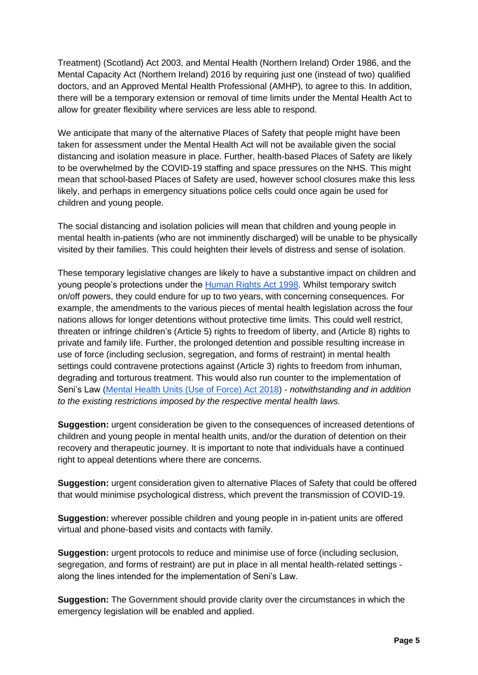Treatment) (Scotland) Act 2003, and Mental Health (Northern Ireland) Order 1986, and the Mental Capacity Act (Northern Ireland) 2016 by requiring just one (instead of two) qualified doctors, and an Approved Mental Health Professional (AMHP), to agree to this. In addition, there will be a temporary extension or removal of time limits under the Mental Health Act to allow for greater flexibility where services are less able to respond.

We anticipate that many of the alternative Places of Safety that people might have been taken for assessment under the Mental Health Act will not be available given the social distancing and isolation measure in place. Further, health-based Places of Safety are likely to be overwhelmed by the COVID-19 staffing and space pressures on the NHS. This might mean that school-based Places of Safety are used, however school closures make this less likely, and perhaps in emergency situations police cells could once again be used for children and young people.

The social distancing and isolation policies will mean that children and young people in mental health in-patients (who are not imminently discharged) will be unable to be physically visited by their families. This could heighten their levels of distress and sense of isolation.

These temporary legislative changes are likely to have a substantive impact on children and young people's protections under the **Human Rights Act 1998**. Whilst temporary switch on/off powers, they could endure for up to two years, with concerning consequences. For example, the amendments to the various pieces of mental health legislation across the four nations allows for longer detentions without protective time limits. This could well restrict, threaten or infringe children's (Article 5) rights to freedom of liberty, and (Article 8) rights to private and family life. Further, the prolonged detention and possible resulting increase in use of force (including seclusion, segregation, and forms of restraint) in mental health settings could contravene protections against (Article 3) rights to freedom from inhuman, degrading and torturous treatment. This would also run counter to the implementation of Seni's Law [\(Mental Health Units \(Use of Force\) Act 2018\)](http://www.legislation.gov.uk/ukpga/2018/27/enacted) - *notwithstanding and in addition to the existing restrictions imposed by the respective mental health laws.*

**Suggestion:** urgent consideration be given to the consequences of increased detentions of children and young people in mental health units, and/or the duration of detention on their recovery and therapeutic journey. It is important to note that individuals have a continued right to appeal detentions where there are concerns.

**Suggestion:** urgent consideration given to alternative Places of Safety that could be offered that would minimise psychological distress, which prevent the transmission of COVID-19.

**Suggestion:** wherever possible children and young people in in-patient units are offered virtual and phone-based visits and contacts with family.

**Suggestion:** urgent protocols to reduce and minimise use of force (including seclusion, segregation, and forms of restraint) are put in place in all mental health-related settings along the lines intended for the implementation of Seni's Law.

**Suggestion:** The Government should provide clarity over the circumstances in which the emergency legislation will be enabled and applied.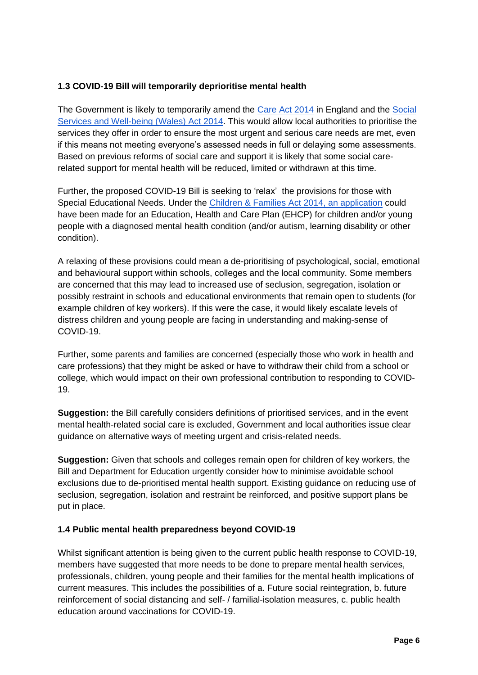# <span id="page-6-0"></span>**1.3 COVID-19 Bill will temporarily deprioritise mental health**

The Government is likely to temporarily amend the [Care Act 2014](http://www.legislation.gov.uk/ukpga/2014/23/contents/enacted) in England and the [Social](http://www.legislation.gov.uk/anaw/2014/4/contents)  [Services and Well-being \(Wales\) Act 2014.](http://www.legislation.gov.uk/anaw/2014/4/contents) This would allow local authorities to prioritise the services they offer in order to ensure the most urgent and serious care needs are met, even if this means not meeting everyone's assessed needs in full or delaying some assessments. Based on previous reforms of social care and support it is likely that some social carerelated support for mental health will be reduced, limited or withdrawn at this time.

Further, the proposed COVID-19 Bill is seeking to 'relax' the provisions for those with Special Educational Needs. Under the [Children & Families Act 2014,](http://www.legislation.gov.uk/ukpga/2014/6/contents/enacted) an application could have been made for an Education, Health and Care Plan (EHCP) for children and/or young people with a diagnosed mental health condition (and/or autism, learning disability or other condition).

A relaxing of these provisions could mean a de-prioritising of psychological, social, emotional and behavioural support within schools, colleges and the local community. Some members are concerned that this may lead to increased use of seclusion, segregation, isolation or possibly restraint in schools and educational environments that remain open to students (for example children of key workers). If this were the case, it would likely escalate levels of distress children and young people are facing in understanding and making-sense of COVID-19.

Further, some parents and families are concerned (especially those who work in health and care professions) that they might be asked or have to withdraw their child from a school or college, which would impact on their own professional contribution to responding to COVID-19.

**Suggestion:** the Bill carefully considers definitions of prioritised services, and in the event mental health-related social care is excluded, Government and local authorities issue clear guidance on alternative ways of meeting urgent and crisis-related needs.

**Suggestion:** Given that schools and colleges remain open for children of key workers, the Bill and Department for Education urgently consider how to minimise avoidable school exclusions due to de-prioritised mental health support. Existing guidance on reducing use of seclusion, segregation, isolation and restraint be reinforced, and positive support plans be put in place.

# <span id="page-6-1"></span>**1.4 Public mental health preparedness beyond COVID-19**

Whilst significant attention is being given to the current public health response to COVID-19, members have suggested that more needs to be done to prepare mental health services, professionals, children, young people and their families for the mental health implications of current measures. This includes the possibilities of a. Future social reintegration, b. future reinforcement of social distancing and self- / familial-isolation measures, c. public health education around vaccinations for COVID-19.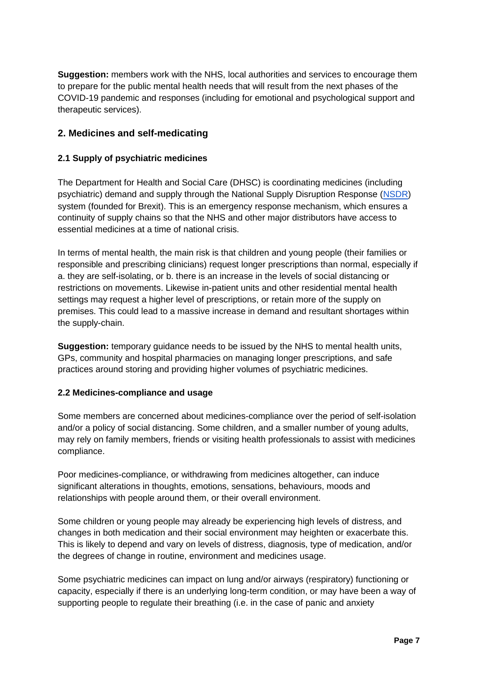**Suggestion:** members work with the NHS, local authorities and services to encourage them to prepare for the public mental health needs that will result from the next phases of the COVID-19 pandemic and responses (including for emotional and psychological support and therapeutic services).

# <span id="page-7-0"></span>**2. Medicines and self-medicating**

### <span id="page-7-1"></span>**2.1 Supply of psychiatric medicines**

The Department for Health and Social Care (DHSC) is coordinating medicines (including psychiatric) demand and supply through the National Supply Disruption Response [\(NSDR\)](https://nhsprocurement.org.uk/eu-exit-contingency-planning-national-supply-disruption-response-system/) system (founded for Brexit). This is an emergency response mechanism, which ensures a continuity of supply chains so that the NHS and other major distributors have access to essential medicines at a time of national crisis.

In terms of mental health, the main risk is that children and young people (their families or responsible and prescribing clinicians) request longer prescriptions than normal, especially if a. they are self-isolating, or b. there is an increase in the levels of social distancing or restrictions on movements. Likewise in-patient units and other residential mental health settings may request a higher level of prescriptions, or retain more of the supply on premises. This could lead to a massive increase in demand and resultant shortages within the supply-chain.

**Suggestion:** temporary guidance needs to be issued by the NHS to mental health units, GPs, community and hospital pharmacies on managing longer prescriptions, and safe practices around storing and providing higher volumes of psychiatric medicines.

# <span id="page-7-2"></span>**2.2 Medicines-compliance and usage**

Some members are concerned about medicines-compliance over the period of self-isolation and/or a policy of social distancing. Some children, and a smaller number of young adults, may rely on family members, friends or visiting health professionals to assist with medicines compliance.

Poor medicines-compliance, or withdrawing from medicines altogether, can induce significant alterations in thoughts, emotions, sensations, behaviours, moods and relationships with people around them, or their overall environment.

Some children or young people may already be experiencing high levels of distress, and changes in both medication and their social environment may heighten or exacerbate this. This is likely to depend and vary on levels of distress, diagnosis, type of medication, and/or the degrees of change in routine, environment and medicines usage.

Some psychiatric medicines can impact on lung and/or airways (respiratory) functioning or capacity, especially if there is an underlying long-term condition, or may have been a way of supporting people to regulate their breathing (i.e. in the case of panic and anxiety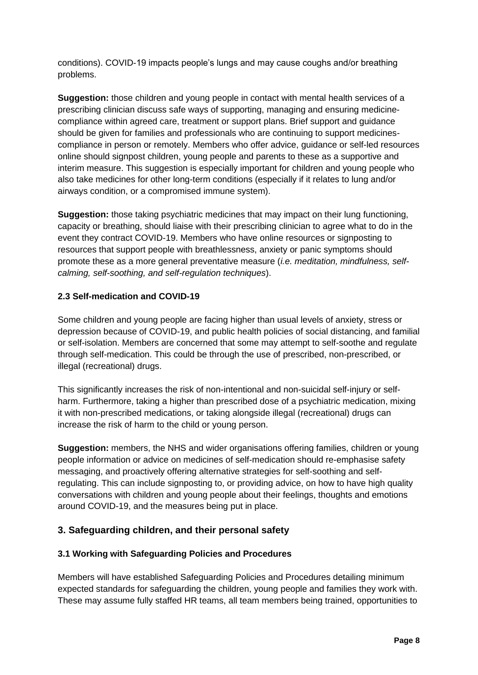conditions). COVID-19 impacts people's lungs and may cause coughs and/or breathing problems.

**Suggestion:** those children and young people in contact with mental health services of a prescribing clinician discuss safe ways of supporting, managing and ensuring medicinecompliance within agreed care, treatment or support plans. Brief support and guidance should be given for families and professionals who are continuing to support medicinescompliance in person or remotely. Members who offer advice, guidance or self-led resources online should signpost children, young people and parents to these as a supportive and interim measure. This suggestion is especially important for children and young people who also take medicines for other long-term conditions (especially if it relates to lung and/or airways condition, or a compromised immune system).

**Suggestion:** those taking psychiatric medicines that may impact on their lung functioning, capacity or breathing, should liaise with their prescribing clinician to agree what to do in the event they contract COVID-19. Members who have online resources or signposting to resources that support people with breathlessness, anxiety or panic symptoms should promote these as a more general preventative measure (*i.e. meditation, mindfulness, selfcalming, self-soothing, and self-regulation techniques*).

#### <span id="page-8-0"></span>**2.3 Self-medication and COVID-19**

Some children and young people are facing higher than usual levels of anxiety, stress or depression because of COVID-19, and public health policies of social distancing, and familial or self-isolation. Members are concerned that some may attempt to self-soothe and regulate through self-medication. This could be through the use of prescribed, non-prescribed, or illegal (recreational) drugs.

This significantly increases the risk of non-intentional and non-suicidal self-injury or selfharm. Furthermore, taking a higher than prescribed dose of a psychiatric medication, mixing it with non-prescribed medications, or taking alongside illegal (recreational) drugs can increase the risk of harm to the child or young person.

**Suggestion:** members, the NHS and wider organisations offering families, children or young people information or advice on medicines of self-medication should re-emphasise safety messaging, and proactively offering alternative strategies for self-soothing and selfregulating. This can include signposting to, or providing advice, on how to have high quality conversations with children and young people about their feelings, thoughts and emotions around COVID-19, and the measures being put in place.

# <span id="page-8-1"></span>**3. Safeguarding children, and their personal safety**

#### <span id="page-8-2"></span>**3.1 Working with Safeguarding Policies and Procedures**

Members will have established Safeguarding Policies and Procedures detailing minimum expected standards for safeguarding the children, young people and families they work with. These may assume fully staffed HR teams, all team members being trained, opportunities to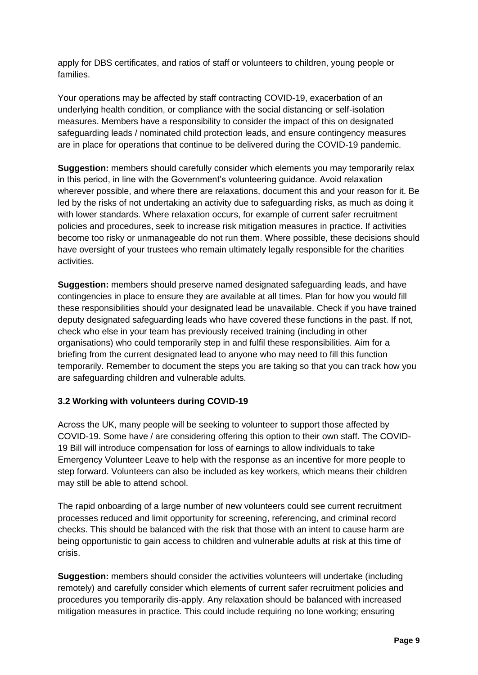apply for DBS certificates, and ratios of staff or volunteers to children, young people or families.

Your operations may be affected by staff contracting COVID-19, exacerbation of an underlying health condition, or compliance with the social distancing or self-isolation measures. Members have a responsibility to consider the impact of this on designated safeguarding leads / nominated child protection leads, and ensure contingency measures are in place for operations that continue to be delivered during the COVID-19 pandemic.

**Suggestion:** members should carefully consider which elements you may temporarily relax in this period, in line with the Government's volunteering guidance. Avoid relaxation wherever possible, and where there are relaxations, document this and your reason for it. Be led by the risks of not undertaking an activity due to safeguarding risks, as much as doing it with lower standards. Where relaxation occurs, for example of current safer recruitment policies and procedures, seek to increase risk mitigation measures in practice. If activities become too risky or unmanageable do not run them. Where possible, these decisions should have oversight of your trustees who remain ultimately legally responsible for the charities activities.

**Suggestion:** members should preserve named designated safeguarding leads, and have contingencies in place to ensure they are available at all times. Plan for how you would fill these responsibilities should your designated lead be unavailable. Check if you have trained deputy designated safeguarding leads who have covered these functions in the past. If not, check who else in your team has previously received training (including in other organisations) who could temporarily step in and fulfil these responsibilities. Aim for a briefing from the current designated lead to anyone who may need to fill this function temporarily. Remember to document the steps you are taking so that you can track how you are safeguarding children and vulnerable adults.

#### <span id="page-9-0"></span>**3.2 Working with volunteers during COVID-19**

Across the UK, many people will be seeking to volunteer to support those affected by COVID-19. Some have / are considering offering this option to their own staff. The COVID-19 Bill will introduce compensation for loss of earnings to allow individuals to take Emergency Volunteer Leave to help with the response as an incentive for more people to step forward. Volunteers can also be included as key workers, which means their children may still be able to attend school.

The rapid onboarding of a large number of new volunteers could see current recruitment processes reduced and limit opportunity for screening, referencing, and criminal record checks. This should be balanced with the risk that those with an intent to cause harm are being opportunistic to gain access to children and vulnerable adults at risk at this time of crisis.

**Suggestion:** members should consider the activities volunteers will undertake (including remotely) and carefully consider which elements of current safer recruitment policies and procedures you temporarily dis-apply. Any relaxation should be balanced with increased mitigation measures in practice. This could include requiring no lone working; ensuring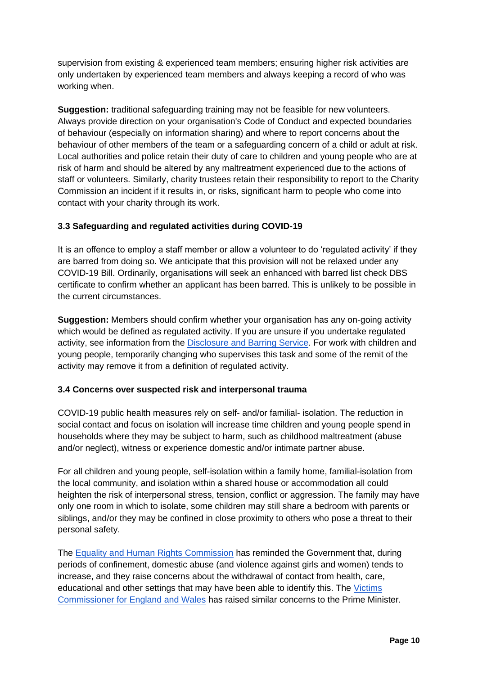supervision from existing & experienced team members; ensuring higher risk activities are only undertaken by experienced team members and always keeping a record of who was working when.

**Suggestion:** traditional safeguarding training may not be feasible for new volunteers. Always provide direction on your organisation's Code of Conduct and expected boundaries of behaviour (especially on information sharing) and where to report concerns about the behaviour of other members of the team or a safeguarding concern of a child or adult at risk. Local authorities and police retain their duty of care to children and young people who are at risk of harm and should be altered by any maltreatment experienced due to the actions of staff or volunteers. Similarly, charity trustees retain their responsibility to report to the Charity Commission an incident if it results in, or risks, significant harm to people who come into contact with your charity through its work.

#### <span id="page-10-0"></span>**3.3 Safeguarding and regulated activities during COVID-19**

It is an offence to employ a staff member or allow a volunteer to do 'regulated activity' if they are barred from doing so. We anticipate that this provision will not be relaxed under any COVID-19 Bill. Ordinarily, organisations will seek an enhanced with barred list check DBS certificate to confirm whether an applicant has been barred. This is unlikely to be possible in the current circumstances.

**Suggestion:** Members should confirm whether your organisation has any on-going activity which would be defined as regulated activity. If you are unsure if you undertake regulated activity, see information from the [Disclosure and Barring Service.](https://www.gov.uk/government/publications/dbs-guidance-leaflets) For work with children and young people, temporarily changing who supervises this task and some of the remit of the activity may remove it from a definition of regulated activity.

#### <span id="page-10-1"></span>**3.4 Concerns over suspected risk and interpersonal trauma**

COVID-19 public health measures rely on self- and/or familial- isolation. The reduction in social contact and focus on isolation will increase time children and young people spend in households where they may be subject to harm, such as childhood maltreatment (abuse and/or neglect), witness or experience domestic and/or intimate partner abuse.

For all children and young people, self-isolation within a family home, familial-isolation from the local community, and isolation within a shared house or accommodation all could heighten the risk of interpersonal stress, tension, conflict or aggression. The family may have only one room in which to isolate, some children may still share a bedroom with parents or siblings, and/or they may be confined in close proximity to others who pose a threat to their personal safety.

The [Equality and Human Rights Commission](https://www.equalityhumanrights.com/sites/default/files/briefing-letter-to-government-covid-19-coronavirus-19-march-2020.pdf) has reminded the Government that, during periods of confinement, domestic abuse (and violence against girls and women) tends to increase, and they raise concerns about the withdrawal of contact from health, care, educational and other settings that may have been able to identify this. The [Victims](https://victimscommissioner.org.uk/news/victims-commissioner-writes-to-prime-minster-to-highlight-importance-of-supporting-victims-during-the-pandemic/)  [Commissioner for England and Wales](https://victimscommissioner.org.uk/news/victims-commissioner-writes-to-prime-minster-to-highlight-importance-of-supporting-victims-during-the-pandemic/) has raised similar concerns to the Prime Minister.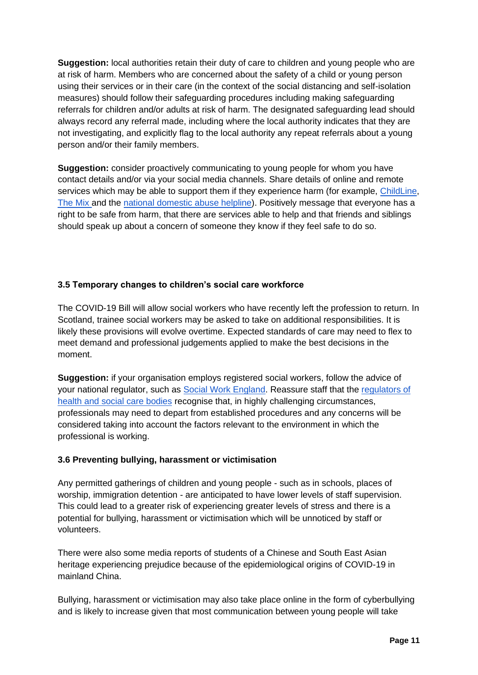**Suggestion:** local authorities retain their duty of care to children and young people who are at risk of harm. Members who are concerned about the safety of a child or young person using their services or in their care (in the context of the social distancing and self-isolation measures) should follow their safeguarding procedures including making safeguarding referrals for children and/or adults at risk of harm. The designated safeguarding lead should always record any referral made, including where the local authority indicates that they are not investigating, and explicitly flag to the local authority any repeat referrals about a young person and/or their family members.

**Suggestion:** consider proactively communicating to young people for whom you have contact details and/or via your social media channels. Share details of online and remote services which may be able to support them if they experience harm (for example, [ChildLine,](https://www.childline.org.uk/) [The Mix a](https://www.themix.org.uk/)nd the [national domestic abuse helpline\)](https://www.nationaldahelpline.org.uk/). Positively message that everyone has a right to be safe from harm, that there are services able to help and that friends and siblings should speak up about a concern of someone they know if they feel safe to do so.

#### <span id="page-11-0"></span>**3.5 Temporary changes to children's social care workforce**

The COVID-19 Bill will allow social workers who have recently left the profession to return. In Scotland, trainee social workers may be asked to take on additional responsibilities. It is likely these provisions will evolve overtime. Expected standards of care may need to flex to meet demand and professional judgements applied to make the best decisions in the moment.

**Suggestion:** if your organisation employs registered social workers, follow the advice of your national regulator, such as [Social Work England.](https://www.socialworkengland.org.uk/coronavirus/) Reassure staff that the [regulators of](https://www.hcpc-uk.org/news-and-events/news/2020/how-we-will-continue-to-regulate-in-light-of-novel-coronavirus/)  [health and social care bodies](https://www.hcpc-uk.org/news-and-events/news/2020/how-we-will-continue-to-regulate-in-light-of-novel-coronavirus/) recognise that, in highly challenging circumstances, professionals may need to depart from established procedures and any concerns will be considered taking into account the factors relevant to the environment in which the professional is working.

#### <span id="page-11-1"></span>**3.6 Preventing bullying, harassment or victimisation**

Any permitted gatherings of children and young people - such as in schools, places of worship, immigration detention - are anticipated to have lower levels of staff supervision. This could lead to a greater risk of experiencing greater levels of stress and there is a potential for bullying, harassment or victimisation which will be unnoticed by staff or volunteers.

There were also some media reports of students of a Chinese and South East Asian heritage experiencing prejudice because of the epidemiological origins of COVID-19 in mainland China.

Bullying, harassment or victimisation may also take place online in the form of cyberbullying and is likely to increase given that most communication between young people will take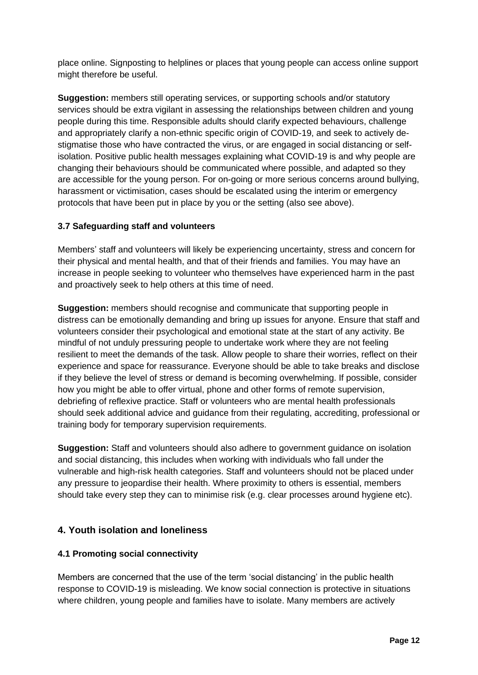place online. Signposting to helplines or places that young people can access online support might therefore be useful.

**Suggestion:** members still operating services, or supporting schools and/or statutory services should be extra vigilant in assessing the relationships between children and young people during this time. Responsible adults should clarify expected behaviours, challenge and appropriately clarify a non-ethnic specific origin of COVID-19, and seek to actively destigmatise those who have contracted the virus, or are engaged in social distancing or selfisolation. Positive public health messages explaining what COVID-19 is and why people are changing their behaviours should be communicated where possible, and adapted so they are accessible for the young person. For on-going or more serious concerns around bullying, harassment or victimisation, cases should be escalated using the interim or emergency protocols that have been put in place by you or the setting (also see above).

# <span id="page-12-0"></span>**3.7 Safeguarding staff and volunteers**

Members' staff and volunteers will likely be experiencing uncertainty, stress and concern for their physical and mental health, and that of their friends and families. You may have an increase in people seeking to volunteer who themselves have experienced harm in the past and proactively seek to help others at this time of need.

**Suggestion:** members should recognise and communicate that supporting people in distress can be emotionally demanding and bring up issues for anyone. Ensure that staff and volunteers consider their psychological and emotional state at the start of any activity. Be mindful of not unduly pressuring people to undertake work where they are not feeling resilient to meet the demands of the task. Allow people to share their worries, reflect on their experience and space for reassurance. Everyone should be able to take breaks and disclose if they believe the level of stress or demand is becoming overwhelming. If possible, consider how you might be able to offer virtual, phone and other forms of remote supervision, debriefing of reflexive practice. Staff or volunteers who are mental health professionals should seek additional advice and guidance from their regulating, accrediting, professional or training body for temporary supervision requirements.

**Suggestion:** Staff and volunteers should also adhere to government guidance on isolation and social distancing, this includes when working with individuals who fall under the vulnerable and high-risk health categories. Staff and volunteers should not be placed under any pressure to jeopardise their health. Where proximity to others is essential, members should take every step they can to minimise risk (e.g. clear processes around hygiene etc).

# <span id="page-12-1"></span>**4. Youth isolation and loneliness**

# <span id="page-12-2"></span>**4.1 Promoting social connectivity**

Members are concerned that the use of the term 'social distancing' in the public health response to COVID-19 is misleading. We know social connection is protective in situations where children, young people and families have to isolate. Many members are actively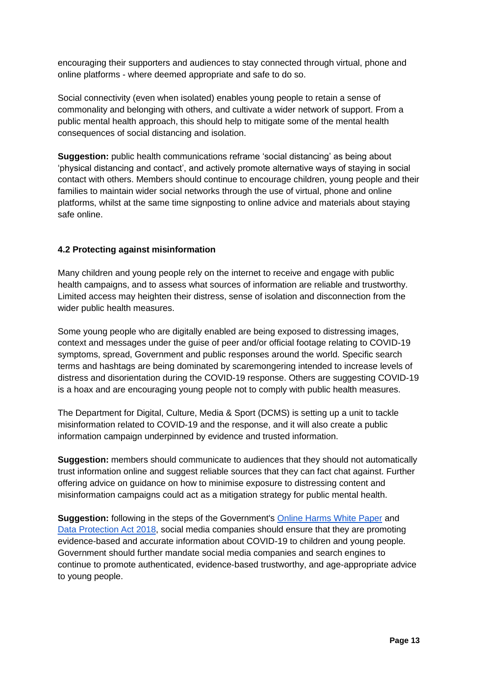encouraging their supporters and audiences to stay connected through virtual, phone and online platforms - where deemed appropriate and safe to do so.

Social connectivity (even when isolated) enables young people to retain a sense of commonality and belonging with others, and cultivate a wider network of support. From a public mental health approach, this should help to mitigate some of the mental health consequences of social distancing and isolation.

**Suggestion:** public health communications reframe 'social distancing' as being about 'physical distancing and contact', and actively promote alternative ways of staying in social contact with others. Members should continue to encourage children, young people and their families to maintain wider social networks through the use of virtual, phone and online platforms, whilst at the same time signposting to online advice and materials about staying safe online.

# <span id="page-13-0"></span>**4.2 Protecting against misinformation**

Many children and young people rely on the internet to receive and engage with public health campaigns, and to assess what sources of information are reliable and trustworthy. Limited access may heighten their distress, sense of isolation and disconnection from the wider public health measures.

Some young people who are digitally enabled are being exposed to distressing images, context and messages under the guise of peer and/or official footage relating to COVID-19 symptoms, spread, Government and public responses around the world. Specific search terms and hashtags are being dominated by scaremongering intended to increase levels of distress and disorientation during the COVID-19 response. Others are suggesting COVID-19 is a hoax and are encouraging young people not to comply with public health measures.

The Department for Digital, Culture, Media & Sport (DCMS) is setting up a unit to tackle misinformation related to COVID-19 and the response, and it will also create a public information campaign underpinned by evidence and trusted information.

**Suggestion:** members should communicate to audiences that they should not automatically trust information online and suggest reliable sources that they can fact chat against. Further offering advice on guidance on how to minimise exposure to distressing content and misinformation campaigns could act as a mitigation strategy for public mental health.

**Suggestion:** following in the steps of the Government's [Online Harms White Paper](https://www.gov.uk/government/consultations/online-harms-white-paper) and [Data Protection Act 2018,](https://www.google.com/search?client=safari&rls=en&ei=dbZzXoHvEYb2gAbnrbKgBA&q=data+protection+bill&oq=data+protection+bill&gs_l=psy-ab.3..0i67l2j0l5j0i67j0l2.7393.10999..11190...0.0..0.72.1142.21......0....1..gws-wiz.......0i273j0i131j0i131i67.fZK_oPa2L6Y&ved=0ahUKEwjB_dyWkqfoAhUGO8AKHeeWDEQQ4dUDCAo&uact=5) social media companies should ensure that they are promoting evidence-based and accurate information about COVID-19 to children and young people. Government should further mandate social media companies and search engines to continue to promote authenticated, evidence-based trustworthy, and age-appropriate advice to young people.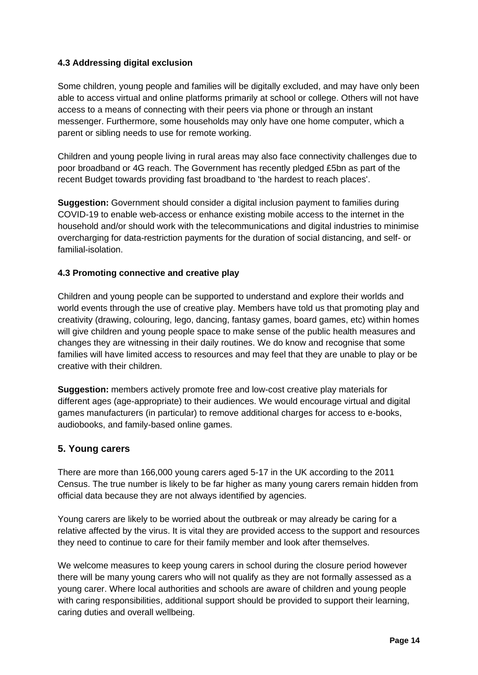# <span id="page-14-0"></span>**4.3 Addressing digital exclusion**

Some children, young people and families will be digitally excluded, and may have only been able to access virtual and online platforms primarily at school or college. Others will not have access to a means of connecting with their peers via phone or through an instant messenger. Furthermore, some households may only have one home computer, which a parent or sibling needs to use for remote working.

Children and young people living in rural areas may also face connectivity challenges due to poor broadband or 4G reach. The Government has recently pledged £5bn as part of the recent Budget towards providing fast broadband to 'the hardest to reach places'.

**Suggestion:** Government should consider a digital inclusion payment to families during COVID-19 to enable web-access or enhance existing mobile access to the internet in the household and/or should work with the telecommunications and digital industries to minimise overcharging for data-restriction payments for the duration of social distancing, and self- or familial-isolation.

#### <span id="page-14-1"></span>**4.3 Promoting connective and creative play**

Children and young people can be supported to understand and explore their worlds and world events through the use of creative play. Members have told us that promoting play and creativity (drawing, colouring, lego, dancing, fantasy games, board games, etc) within homes will give children and young people space to make sense of the public health measures and changes they are witnessing in their daily routines. We do know and recognise that some families will have limited access to resources and may feel that they are unable to play or be creative with their children.

**Suggestion:** members actively promote free and low-cost creative play materials for different ages (age-appropriate) to their audiences. We would encourage virtual and digital games manufacturers (in particular) to remove additional charges for access to e-books, audiobooks, and family-based online games.

# <span id="page-14-2"></span>**5. Young carers**

There are more than 166,000 young carers aged 5-17 in the UK according to the 2011 Census. The true number is likely to be far higher as many young carers remain hidden from official data because they are not always identified by agencies.

Young carers are likely to be worried about the outbreak or may already be caring for a relative affected by the virus. It is vital they are provided access to the support and resources they need to continue to care for their family member and look after themselves.

We welcome measures to keep young carers in school during the closure period however there will be many young carers who will not qualify as they are not formally assessed as a young carer. Where local authorities and schools are aware of children and young people with caring responsibilities, additional support should be provided to support their learning, caring duties and overall wellbeing.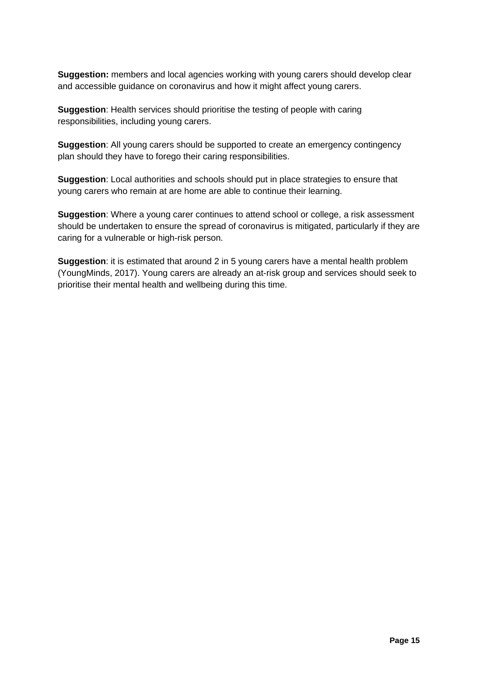**Suggestion:** members and local agencies working with young carers should develop clear and accessible guidance on coronavirus and how it might affect young carers.

**Suggestion**: Health services should prioritise the testing of people with caring responsibilities, including young carers.

**Suggestion**: All young carers should be supported to create an emergency contingency plan should they have to forego their caring responsibilities.

**Suggestion**: Local authorities and schools should put in place strategies to ensure that young carers who remain at are home are able to continue their learning.

**Suggestion**: Where a young carer continues to attend school or college, a risk assessment should be undertaken to ensure the spread of coronavirus is mitigated, particularly if they are caring for a vulnerable or high-risk person.

**Suggestion**: it is estimated that around 2 in 5 young carers have a mental health problem (YoungMinds, 2017). Young carers are already an at-risk group and services should seek to prioritise their mental health and wellbeing during this time.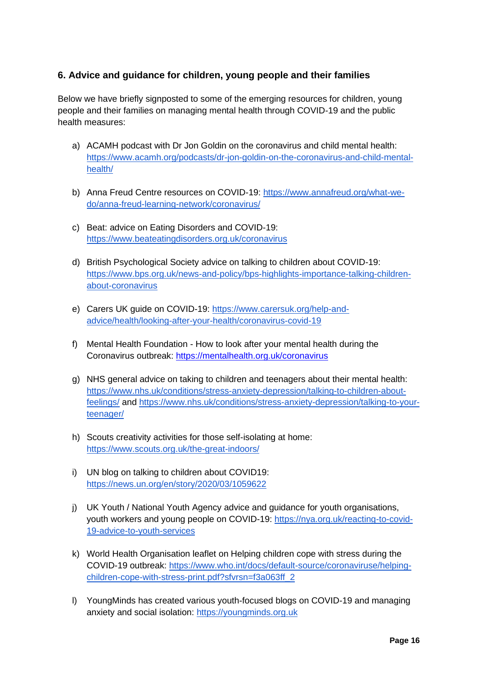# <span id="page-16-0"></span>**6. Advice and guidance for children, young people and their families**

Below we have briefly signposted to some of the emerging resources for children, young people and their families on managing mental health through COVID-19 and the public health measures:

- a) ACAMH podcast with Dr Jon Goldin on the coronavirus and child mental health: [https://www.acamh.org/podcasts/dr-jon-goldin-on-the-coronavirus-and-child-mental](https://www.acamh.org/podcasts/dr-jon-goldin-on-the-coronavirus-and-child-mental-health/)[health/](https://www.acamh.org/podcasts/dr-jon-goldin-on-the-coronavirus-and-child-mental-health/)
- b) Anna Freud Centre resources on COVID-19: [https://www.annafreud.org/what-we](https://www.annafreud.org/what-we-do/anna-freud-learning-network/coronavirus/)[do/anna-freud-learning-network/coronavirus/](https://www.annafreud.org/what-we-do/anna-freud-learning-network/coronavirus/)
- c) Beat: advice on Eating Disorders and COVID-19: <https://www.beateatingdisorders.org.uk/coronavirus>
- d) British Psychological Society advice on talking to children about COVID-19: [https://www.bps.org.uk/news-and-policy/bps-highlights-importance-talking-children](https://www.bps.org.uk/news-and-policy/bps-highlights-importance-talking-children-about-coronavirus)[about-coronavirus](https://www.bps.org.uk/news-and-policy/bps-highlights-importance-talking-children-about-coronavirus)
- e) Carers UK guide on COVID-19: [https://www.carersuk.org/help-and](https://www.carersuk.org/help-and-advice/health/looking-after-your-health/coronavirus-covid-19)[advice/health/looking-after-your-health/coronavirus-covid-19](https://www.carersuk.org/help-and-advice/health/looking-after-your-health/coronavirus-covid-19)
- f) Mental Health Foundation How to look after your mental health during the Coronavirus outbreak:<https://mentalhealth.org.uk/coronavirus>
- g) NHS general advice on taking to children and teenagers about their mental health: [https://www.nhs.uk/conditions/stress-anxiety-depression/talking-to-children-about](https://www.nhs.uk/conditions/stress-anxiety-depression/talking-to-children-about-feelings/)[feelings/](https://www.nhs.uk/conditions/stress-anxiety-depression/talking-to-children-about-feelings/) and [https://www.nhs.uk/conditions/stress-anxiety-depression/talking-to-your](https://www.nhs.uk/conditions/stress-anxiety-depression/talking-to-your-teenager/)[teenager/](https://www.nhs.uk/conditions/stress-anxiety-depression/talking-to-your-teenager/)
- h) Scouts creativity activities for those self-isolating at home: <https://www.scouts.org.uk/the-great-indoors/>
- i) UN blog on talking to children about COVID19: <https://news.un.org/en/story/2020/03/1059622>
- j) UK Youth / National Youth Agency advice and guidance for youth organisations, youth workers and young people on COVID-19: [https://nya.org.uk/reacting-to-covid-](https://nya.org.uk/reacting-to-covid-19-advice-to-youth-services)[19-advice-to-youth-services](https://nya.org.uk/reacting-to-covid-19-advice-to-youth-services)
- k) World Health Organisation leaflet on Helping children cope with stress during the COVID-19 outbreak: [https://www.who.int/docs/default-source/coronaviruse/helping](https://www.who.int/docs/default-source/coronaviruse/helping-children-cope-with-stress-print.pdf?sfvrsn=f3a063ff_2)[children-cope-with-stress-print.pdf?sfvrsn=f3a063ff\\_2](https://www.who.int/docs/default-source/coronaviruse/helping-children-cope-with-stress-print.pdf?sfvrsn=f3a063ff_2)
- l) YoungMinds has created various youth-focused blogs on COVID-19 and managing anxiety and social isolation: [https://youngminds.org.uk](https://youngminds.org.uk/)